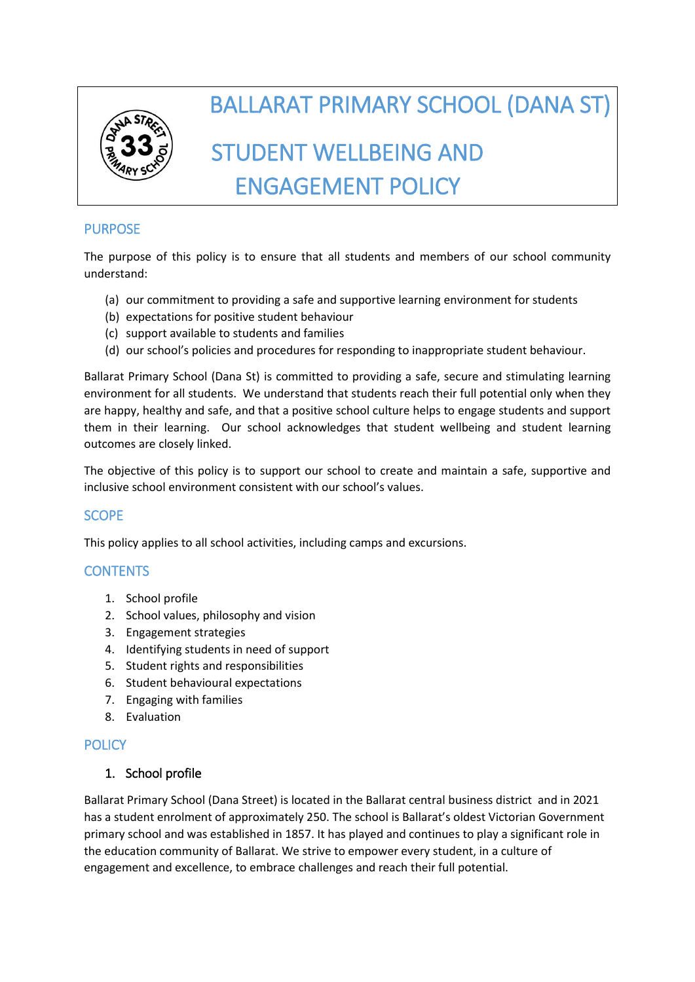

# BALLARAT PRIMARY SCHOOL (DANA ST) STUDENT WELLBEING AND ENGAGEMENT POLICY

# PURPOSE

The purpose of this policy is to ensure that all students and members of our school community understand:

- (a) our commitment to providing a safe and supportive learning environment for students
- (b) expectations for positive student behaviour
- (c) support available to students and families
- (d) our school's policies and procedures for responding to inappropriate student behaviour.

Ballarat Primary School (Dana St) is committed to providing a safe, secure and stimulating learning environment for all students. We understand that students reach their full potential only when they are happy, healthy and safe, and that a positive school culture helps to engage students and support them in their learning. Our school acknowledges that student wellbeing and student learning outcomes are closely linked.

The objective of this policy is to support our school to create and maintain a safe, supportive and inclusive school environment consistent with our school's values.

# SCOPE

This policy applies to all school activities, including camps and excursions.

# **CONTENTS**

- 1. School profile
- 2. School values, philosophy and vision
- 3. Engagement strategies
- 4. Identifying students in need of support
- 5. Student rights and responsibilities
- 6. Student behavioural expectations
- 7. Engaging with families
- 8. Evaluation

# **POLICY**

# 1. School profile

Ballarat Primary School (Dana Street) is located in the Ballarat central business district and in 2021 has a student enrolment of approximately 250. The school is Ballarat's oldest Victorian Government primary school and was established in 1857. It has played and continues to play a significant role in the education community of Ballarat. We strive to empower every student, in a culture of engagement and excellence, to embrace challenges and reach their full potential.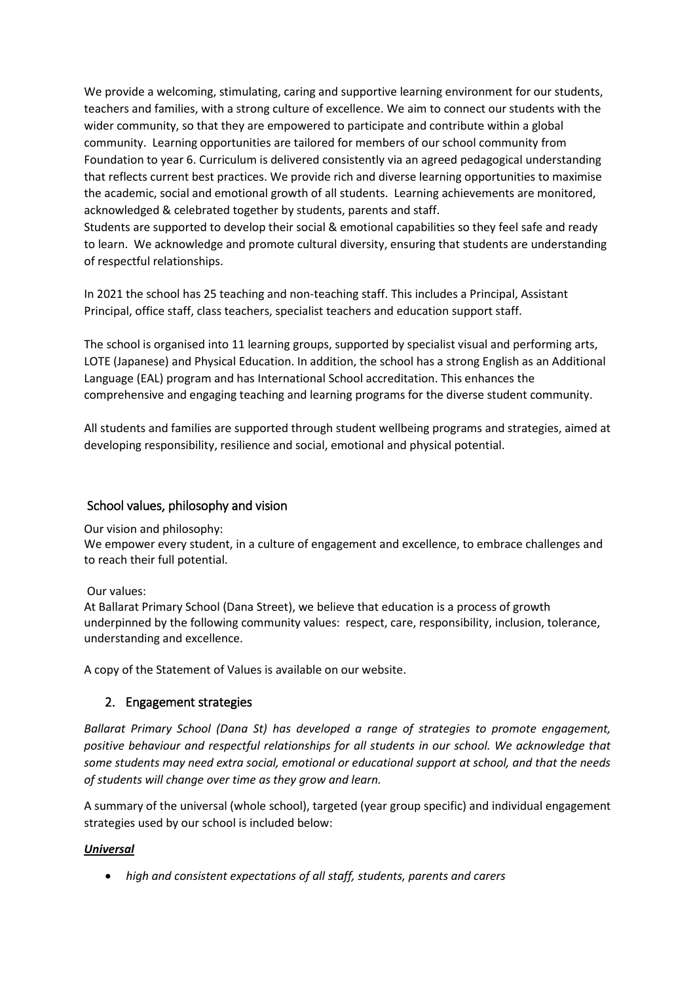We provide a welcoming, stimulating, caring and supportive learning environment for our students, teachers and families, with a strong culture of excellence. We aim to connect our students with the wider community, so that they are empowered to participate and contribute within a global community. Learning opportunities are tailored for members of our school community from Foundation to year 6. Curriculum is delivered consistently via an agreed pedagogical understanding that reflects current best practices. We provide rich and diverse learning opportunities to maximise the academic, social and emotional growth of all students. Learning achievements are monitored, acknowledged & celebrated together by students, parents and staff.

Students are supported to develop their social & emotional capabilities so they feel safe and ready to learn. We acknowledge and promote cultural diversity, ensuring that students are understanding of respectful relationships.

In 2021 the school has 25 teaching and non-teaching staff. This includes a Principal, Assistant Principal, office staff, class teachers, specialist teachers and education support staff.

The school is organised into 11 learning groups, supported by specialist visual and performing arts, LOTE (Japanese) and Physical Education. In addition, the school has a strong English as an Additional Language (EAL) program and has International School accreditation. This enhances the comprehensive and engaging teaching and learning programs for the diverse student community.

All students and families are supported through student wellbeing programs and strategies, aimed at developing responsibility, resilience and social, emotional and physical potential.

#### School values, philosophy and vision

Our vision and philosophy:

We empower every student, in a culture of engagement and excellence, to embrace challenges and to reach their full potential.

#### Our values:

At Ballarat Primary School (Dana Street), we believe that education is a process of growth underpinned by the following community values: respect, care, responsibility, inclusion, tolerance, understanding and excellence.

A copy of the Statement of Values is available on our website.

#### 2. Engagement strategies

*Ballarat Primary School (Dana St) has developed a range of strategies to promote engagement, positive behaviour and respectful relationships for all students in our school. We acknowledge that some students may need extra social, emotional or educational support at school, and that the needs of students will change over time as they grow and learn.* 

A summary of the universal (whole school), targeted (year group specific) and individual engagement strategies used by our school is included below:

#### *Universal*

• *high and consistent expectations of all staff, students, parents and carers*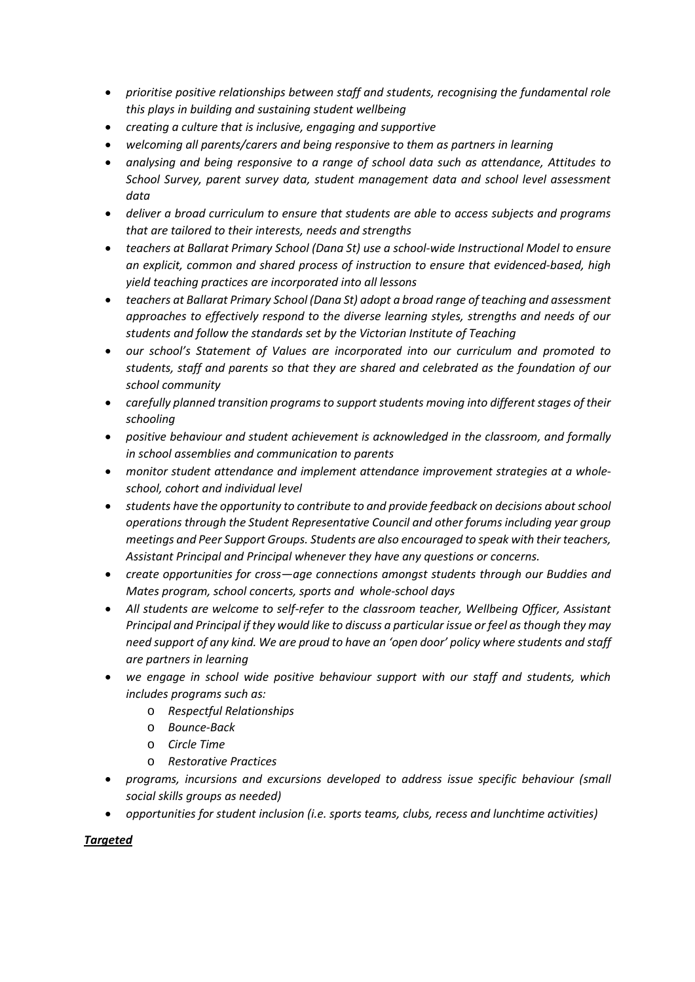- *prioritise positive relationships between staff and students, recognising the fundamental role this plays in building and sustaining student wellbeing*
- *creating a culture that is inclusive, engaging and supportive*
- *welcoming all parents/carers and being responsive to them as partners in learning*
- *analysing and being responsive to a range of school data such as attendance, Attitudes to School Survey, parent survey data, student management data and school level assessment data*
- *deliver a broad curriculum to ensure that students are able to access subjects and programs that are tailored to their interests, needs and strengths*
- *teachers at Ballarat Primary School (Dana St) use a school-wide Instructional Model to ensure an explicit, common and shared process of instruction to ensure that evidenced-based, high yield teaching practices are incorporated into all lessons*
- *teachers at Ballarat Primary School (Dana St) adopt a broad range of teaching and assessment approaches to effectively respond to the diverse learning styles, strengths and needs of our students and follow the standards set by the Victorian Institute of Teaching*
- *our school's Statement of Values are incorporated into our curriculum and promoted to students, staff and parents so that they are shared and celebrated as the foundation of our school community*
- *carefully planned transition programs to support students moving into different stages of their schooling*
- *positive behaviour and student achievement is acknowledged in the classroom, and formally in school assemblies and communication to parents*
- *monitor student attendance and implement attendance improvement strategies at a wholeschool, cohort and individual level*
- *students have the opportunity to contribute to and provide feedback on decisions aboutschool operations through the Student Representative Council and other forums including year group meetings and Peer Support Groups. Students are also encouraged to speak with their teachers, Assistant Principal and Principal whenever they have any questions or concerns.*
- *create opportunities for cross—age connections amongst students through our Buddies and Mates program, school concerts, sports and whole-school days*
- *All students are welcome to self-refer to the classroom teacher, Wellbeing Officer, Assistant Principal and Principal if they would like to discuss a particular issue or feel as though they may need support of any kind. We are proud to have an 'open door' policy where students and staff are partners in learning*
- *we engage in school wide positive behaviour support with our staff and students, which includes programs such as:*
	- o *Respectful Relationships*
	- o *Bounce-Back*
	- o *Circle Time*
	- o *Restorative Practices*
- *programs, incursions and excursions developed to address issue specific behaviour (small social skills groups as needed)*
- *opportunities for student inclusion (i.e. sports teams, clubs, recess and lunchtime activities)*

#### *Targeted*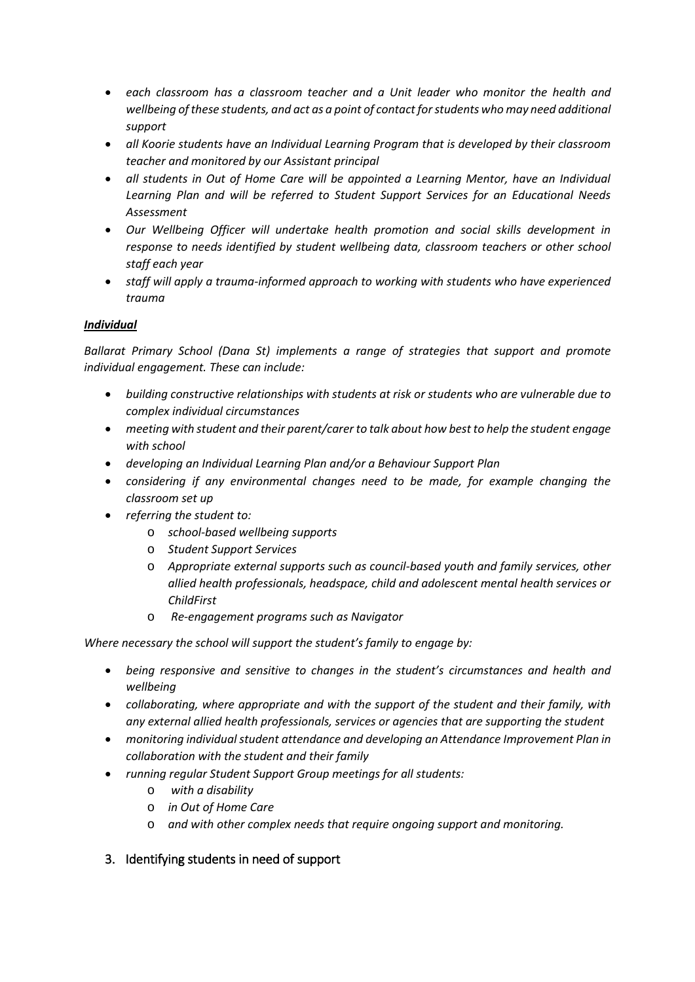- *each classroom has a classroom teacher and a Unit leader who monitor the health and wellbeing of these students, and act as a point of contact for students who may need additional support*
- *all Koorie students have an Individual Learning Program that is developed by their classroom teacher and monitored by our Assistant principal*
- *all students in Out of Home Care will be appointed a Learning Mentor, have an Individual Learning Plan and will be referred to Student Support Services for an Educational Needs Assessment*
- *Our Wellbeing Officer will undertake health promotion and social skills development in response to needs identified by student wellbeing data, classroom teachers or other school staff each year*
- *staff will apply a trauma-informed approach to working with students who have experienced trauma*

## *Individual*

*Ballarat Primary School (Dana St) implements a range of strategies that support and promote individual engagement. These can include:*

- *building constructive relationships with students at risk or students who are vulnerable due to complex individual circumstances*
- *meeting with student and their parent/carer to talk about how best to help the student engage with school*
- *developing an Individual Learning Plan and/or a Behaviour Support Plan*
- *considering if any environmental changes need to be made, for example changing the classroom set up*
- *referring the student to:*
	- o *school-based wellbeing supports*
	- o *Student Support Services*
	- o *Appropriate external supports such as council-based youth and family services, other allied health professionals, headspace, child and adolescent mental health services or ChildFirst*
	- o *Re-engagement programs such as Navigator*

*Where necessary the school will support the student's family to engage by:*

- *being responsive and sensitive to changes in the student's circumstances and health and wellbeing*
- *collaborating, where appropriate and with the support of the student and their family, with any external allied health professionals, services or agencies that are supporting the student*
- *monitoring individual student attendance and developing an Attendance Improvement Plan in collaboration with the student and their family*
- *running regular Student Support Group meetings for all students:*
	- o *with a disability*
	- o *in Out of Home Care*
	- o *and with other complex needs that require ongoing support and monitoring.*
- 3. Identifying students in need of support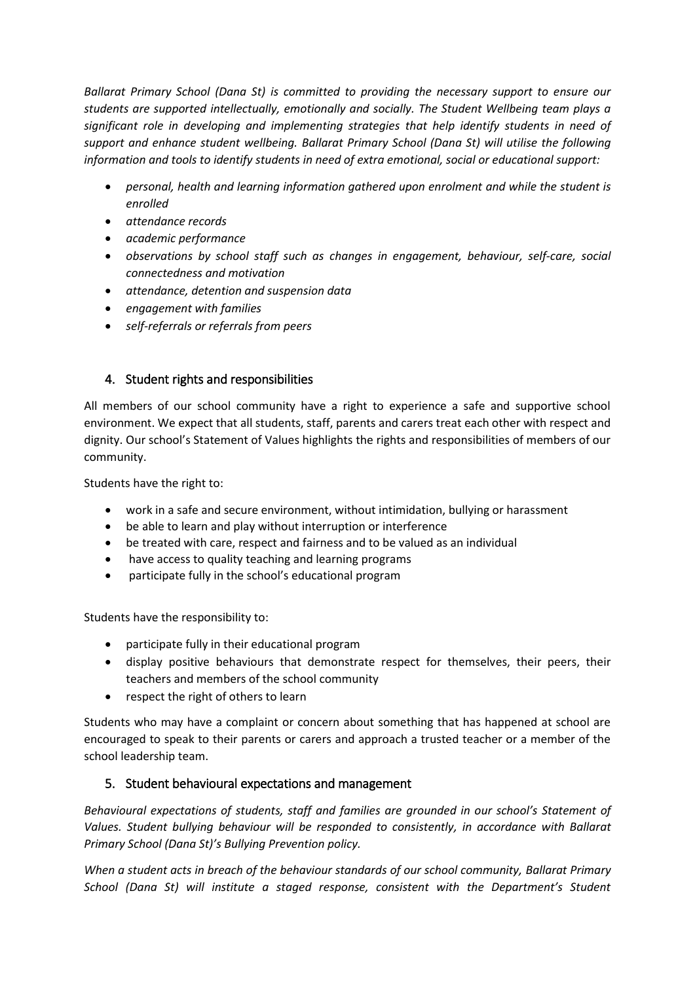*Ballarat Primary School (Dana St) is committed to providing the necessary support to ensure our students are supported intellectually, emotionally and socially. The Student Wellbeing team plays a significant role in developing and implementing strategies that help identify students in need of support and enhance student wellbeing. Ballarat Primary School (Dana St) will utilise the following information and tools to identify students in need of extra emotional, social or educational support:*

- *personal, health and learning information gathered upon enrolment and while the student is enrolled*
- *attendance records*
- *academic performance*
- *observations by school staff such as changes in engagement, behaviour, self-care, social connectedness and motivation*
- *attendance, detention and suspension data*
- *engagement with families*
- *self-referrals or referrals from peers*

# 4. Student rights and responsibilities

All members of our school community have a right to experience a safe and supportive school environment. We expect that all students, staff, parents and carers treat each other with respect and dignity. Our school's Statement of Values highlights the rights and responsibilities of members of our community.

Students have the right to:

- work in a safe and secure environment, without intimidation, bullying or harassment
- be able to learn and play without interruption or interference
- be treated with care, respect and fairness and to be valued as an individual
- have access to quality teaching and learning programs
- participate fully in the school's educational program

Students have the responsibility to:

- participate fully in their educational program
- display positive behaviours that demonstrate respect for themselves, their peers, their teachers and members of the school community
- respect the right of others to learn

Students who may have a complaint or concern about something that has happened at school are encouraged to speak to their parents or carers and approach a trusted teacher or a member of the school leadership team.

# 5. Student behavioural expectations and management

*Behavioural expectations of students, staff and families are grounded in our school's Statement of Values. Student bullying behaviour will be responded to consistently, in accordance with Ballarat Primary School (Dana St)'s Bullying Prevention policy.* 

*When a student acts in breach of the behaviour standards of our school community, Ballarat Primary School (Dana St) will institute a staged response, consistent with the Department's Student*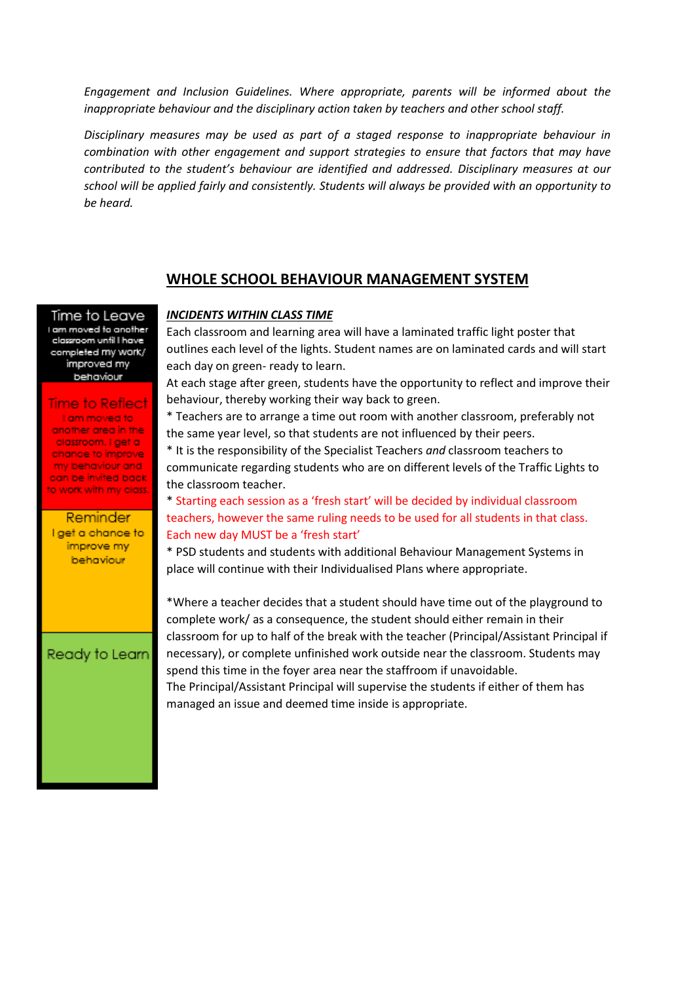*Engagement and Inclusion Guidelines. Where appropriate, parents will be informed about the inappropriate behaviour and the disciplinary action taken by teachers and other school staff.* 

*Disciplinary measures may be used as part of a staged response to inappropriate behaviour in combination with other engagement and support strategies to ensure that factors that may have contributed to the student's behaviour are identified and addressed. Disciplinary measures at our school will be applied fairly and consistently. Students will always be provided with an opportunity to be heard.* 

#### **WHOLE SCHOOL BEHAVIOUR MANAGEMENT SYSTEM**

#### *INCIDENTS WITHIN CLASS TIME*

Time to Leave I am moved to another classroom unfil I have completed my work/ improved my behaviour

#### **Time to Reflect**

I am moved to another area in the classroom. I get a chance to improve. my behaviour and can be invited back to work with my class.

**Reminder** I get a chance to improve my behaviour

Ready to Learn

Each classroom and learning area will have a laminated traffic light poster that outlines each level of the lights. Student names are on laminated cards and will start each day on green- ready to learn.

At each stage after green, students have the opportunity to reflect and improve their behaviour, thereby working their way back to green.

\* Teachers are to arrange a time out room with another classroom, preferably not the same year level, so that students are not influenced by their peers.

\* It is the responsibility of the Specialist Teachers *and* classroom teachers to communicate regarding students who are on different levels of the Traffic Lights to the classroom teacher.

\* Starting each session as a 'fresh start' will be decided by individual classroom teachers, however the same ruling needs to be used for all students in that class. Each new day MUST be a 'fresh start'

\* PSD students and students with additional Behaviour Management Systems in place will continue with their Individualised Plans where appropriate.

\*Where a teacher decides that a student should have time out of the playground to complete work/ as a consequence, the student should either remain in their classroom for up to half of the break with the teacher (Principal/Assistant Principal if necessary), or complete unfinished work outside near the classroom. Students may spend this time in the foyer area near the staffroom if unavoidable.

The Principal/Assistant Principal will supervise the students if either of them has managed an issue and deemed time inside is appropriate.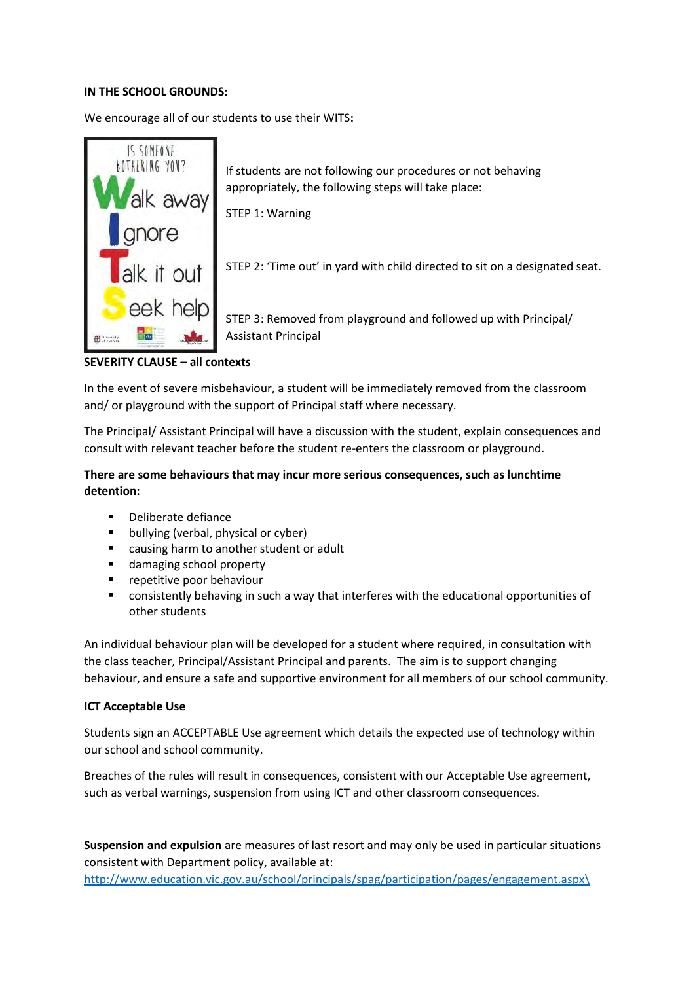#### **IN THE SCHOOL GROUNDS:**

We encourage all of our students to use their WITS**:** 



**SEVERITY CLAUSE – all contexts**

In the event of severe misbehaviour, a student will be immediately removed from the classroom and/ or playground with the support of Principal staff where necessary.

The Principal/ Assistant Principal will have a discussion with the student, explain consequences and consult with relevant teacher before the student re-enters the classroom or playground.

### **There are some behaviours that may incur more serious consequences, such as lunchtime detention:**

- Deliberate defiance
- bullying (verbal, physical or cyber)
- causing harm to another student or adult
- damaging school property
- repetitive poor behaviour
- consistently behaving in such a way that interferes with the educational opportunities of other students

An individual behaviour plan will be developed for a student where required, in consultation with the class teacher, Principal/Assistant Principal and parents. The aim is to support changing behaviour, and ensure a safe and supportive environment for all members of our school community.

#### **ICT Acceptable Use**

Students sign an ACCEPTABLE Use agreement which details the expected use of technology within our school and school community.

Breaches of the rules will result in consequences, consistent with our Acceptable Use agreement, such as verbal warnings, suspension from using ICT and other classroom consequences.

**Suspension and expulsion** are measures of last resort and may only be used in particular situations consistent with Department policy, available at:

[http://www.education.vic.gov.au/school/principals/spag/participation/pages/engagement.aspx\](http://www.education.vic.gov.au/school/principals/spag/participation/pages/engagement.aspx/)